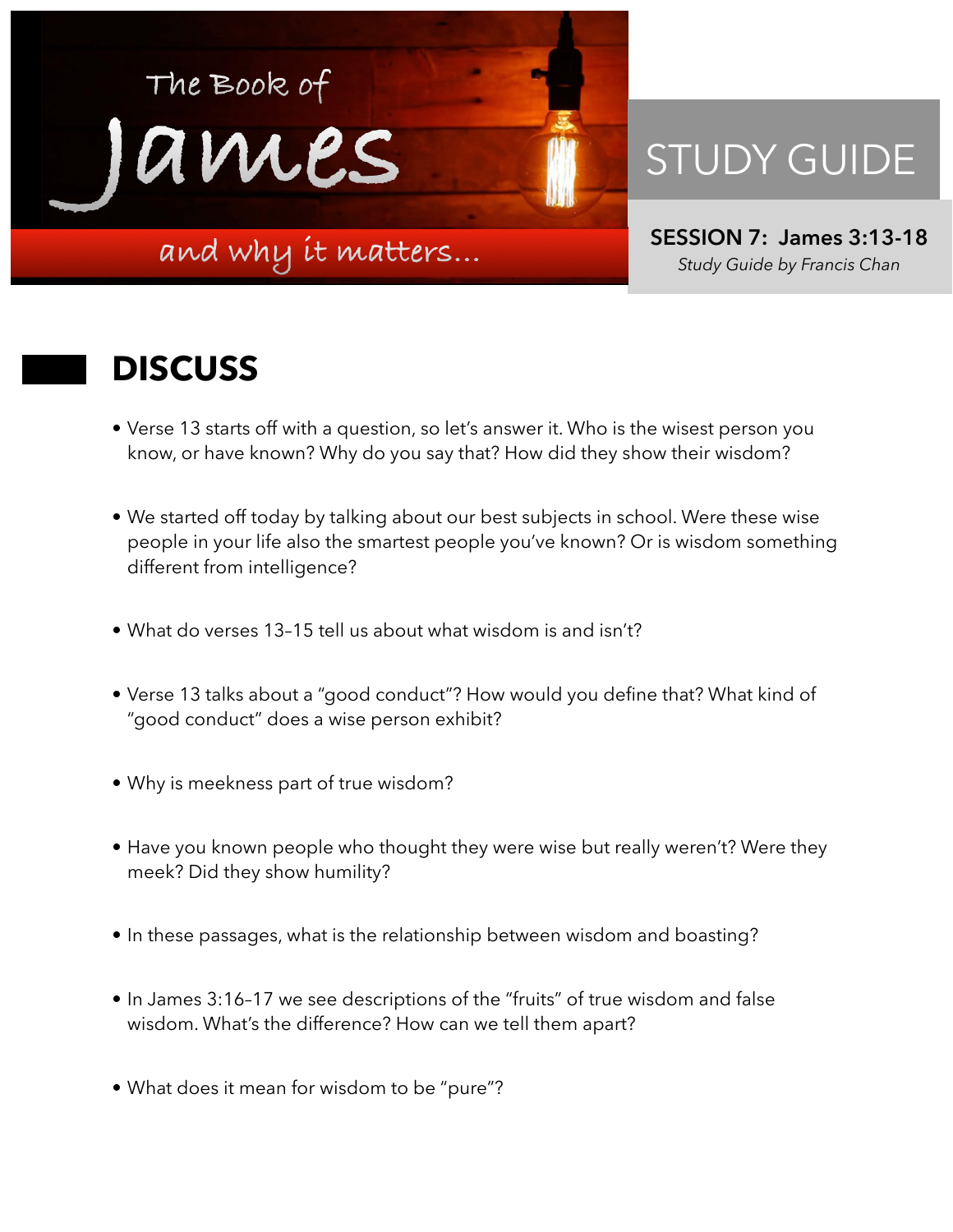

## STUDY GUIDE

**SESSION 7: James 3:13-18**  *Study Guide by Francis Chan*

## **DISCUSS**

- Verse 13 starts off with a question, so let's answer it. Who is the wisest person you know, or have known? Why do you say that? How did they show their wisdom?
- We started off today by talking about our best subjects in school. Were these wise people in your life also the smartest people you've known? Or is wisdom something different from intelligence?
- What do verses 13–15 tell us about what wisdom is and isn't?
- Verse 13 talks about a "good conduct"? How would you define that? What kind of "good conduct" does a wise person exhibit?
- Why is meekness part of true wisdom?
- Have you known people who thought they were wise but really weren't? Were they meek? Did they show humility?
- In these passages, what is the relationship between wisdom and boasting?
- In James 3:16–17 we see descriptions of the "fruits" of true wisdom and false wisdom. What's the difference? How can we tell them apart?
- What does it mean for wisdom to be "pure"?